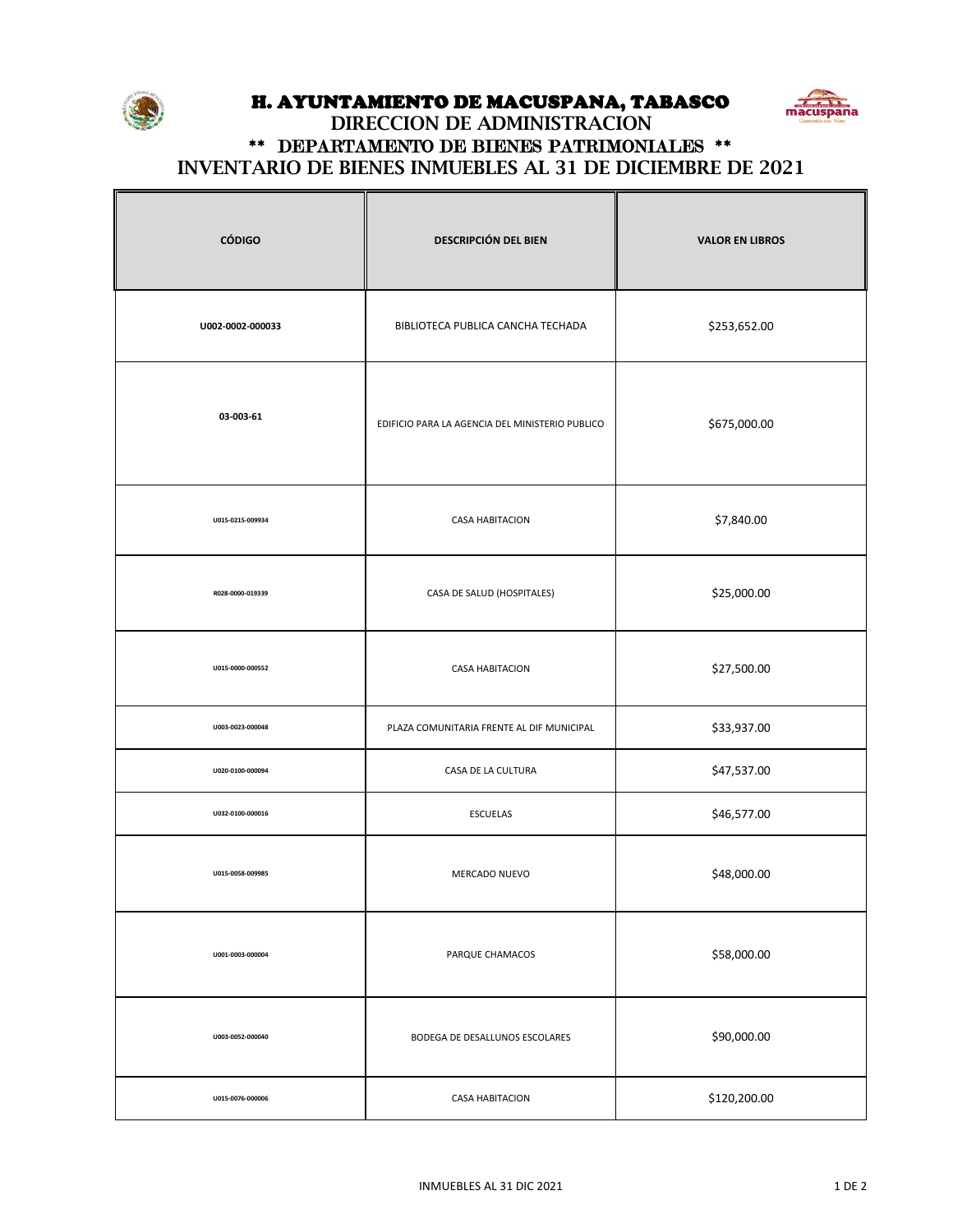

 $\mathsf \Gamma$ 

## H. AYUNTAMIENTO DE MACUSPANA, TABASCO



## **INVENTARIO DE BIENES INMUEBLES AL 31 DE DICIEMBRE DE 2021 DIRECCION DE ADMINISTRACION** \*\* DEPARTAMENTO DE BIENES PATRIMONIALES \*\*

┯

 $\overline{\mathbb{T}}$ 

| <b>CÓDIGO</b>    | <b>DESCRIPCIÓN DEL BIEN</b>                     | <b>VALOR EN LIBROS</b> |
|------------------|-------------------------------------------------|------------------------|
| U002-0002-000033 | BIBLIOTECA PUBLICA CANCHA TECHADA               | \$253,652.00           |
| 03-003-61        | EDIFICIO PARA LA AGENCIA DEL MINISTERIO PUBLICO | \$675,000.00           |
| U015-0215-009934 | <b>CASA HABITACION</b>                          | \$7,840.00             |
| R028-0000-019339 | CASA DE SALUD (HOSPITALES)                      | \$25,000.00            |
| U015-0000-000552 | <b>CASA HABITACION</b>                          | \$27,500.00            |
| U003-0023-000048 | PLAZA COMUNITARIA FRENTE AL DIF MUNICIPAL       | \$33,937.00            |
| U020-0100-000094 | CASA DE LA CULTURA                              | \$47,537.00            |
| U032-0100-000016 | <b>ESCUELAS</b>                                 | \$46,577.00            |
| U015-0058-009985 | MERCADO NUEVO                                   | \$48,000.00            |
| U001-0003-000004 | PARQUE CHAMACOS                                 | \$58,000.00            |
| U003-0052-000040 | BODEGA DE DESALLUNOS ESCOLARES                  | \$90,000.00            |
| U015-0076-000006 | <b>CASA HABITACION</b>                          | \$120,200.00           |